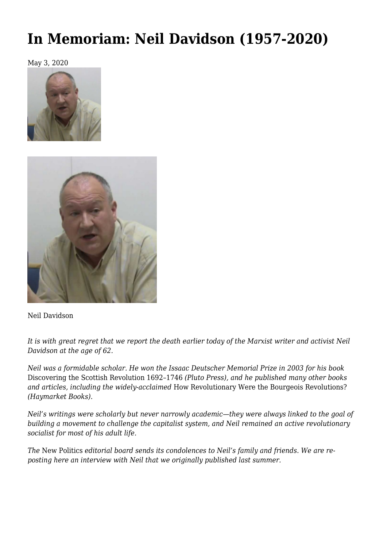## **[In Memoriam: Neil Davidson \(1957-2020\)](https://newpol.org/in-memoriam-neil-davidson-1957-2020/)**

May 3, 2020





Neil Davidson

*It is with great regret that we report the death earlier today of the Marxist writer and activist Neil Davidson at the age of 62.*

*Neil was a formidable scholar. He won the Issaac Deutscher Memorial Prize in 2003 for his book* [Discovering the Scottish Revolution 1692–1746](https://www.plutobooks.com/9780745320533/discovering-the-scottish-revolution-16921746/) *(Pluto Press), and he published many other books and articles, including the widely-acclaimed* [How Revolutionary Were the Bourgeois Revolutions?](https://www.haymarketbooks.org/books/323-how-revolutionary-were-the-bourgeois-revolutions) *(Haymarket Books).*

*Neil's writings were scholarly but never narrowly academic—they were always linked to the goal of building a movement to challenge the capitalist system, and Neil remained an active revolutionary socialist for most of his adult life.*

*The* New Politics *editorial board sends its condolences to Neil's family and friends. We are reposting here an interview with Neil that we originally published last summer.*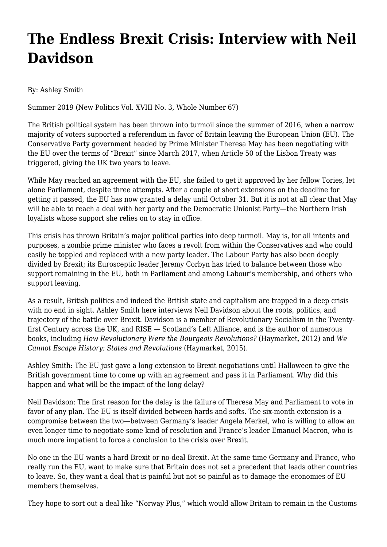## **The Endless Brexit Crisis: Interview with Neil Davidson**

By: [Ashley Smith](https://newpol.org/authors/smith-ashley/)

[Summer 2019](https://newpol.org/issues/new-politics-vol-xviii-no-3-whole-number-67) (New Politics Vol. XVIII No. 3, Whole Number 67)

The British political system has been thrown into turmoil since the summer of 2016, when a narrow majority of voters supported a referendum in favor of Britain leaving the European Union (EU). The Conservative Party government headed by Prime Minister Theresa May has been negotiating with the EU over the terms of "Brexit" since March 2017, when Article 50 of the Lisbon Treaty was triggered, giving the UK two years to leave.

While May reached an agreement with the EU, she failed to get it approved by her fellow Tories, let alone Parliament, despite three attempts. After a couple of short extensions on the deadline for getting it passed, the EU has now granted a delay until October 31. But it is not at all clear that May will be able to reach a deal with her party and the Democratic Unionist Party—the Northern Irish loyalists whose support she relies on to stay in office.

This crisis has thrown Britain's major political parties into deep turmoil. May is, for all intents and purposes, a zombie prime minister who faces a revolt from within the Conservatives and who could easily be toppled and replaced with a new party leader. The Labour Party has also been deeply divided by Brexit; its Eurosceptic leader Jeremy Corbyn has tried to balance between those who support remaining in the EU, both in Parliament and among Labour's membership, and others who support leaving.

As a result, British politics and indeed the British state and capitalism are trapped in a deep crisis with no end in sight. Ashley Smith here interviews Neil Davidson about the roots, politics, and trajectory of the battle over Brexit. Davidson is a member of Revolutionary Socialism in the Twentyfirst Century across the UK, and RISE — Scotland's Left Alliance, and is the author of numerous books, including *How Revolutionary Were the Bourgeois Revolutions?* (Haymarket, 2012) and *We Cannot Escape History: States and Revolutions* (Haymarket, 2015).

Ashley Smith: The EU just gave a long extension to Brexit negotiations until Halloween to give the British government time to come up with an agreement and pass it in Parliament. Why did this happen and what will be the impact of the long delay?

Neil Davidson: The first reason for the delay is the failure of Theresa May and Parliament to vote in favor of any plan. The EU is itself divided between hards and softs. The six-month extension is a compromise between the two—between Germany's leader Angela Merkel, who is willing to allow an even longer time to negotiate some kind of resolution and France's leader Emanuel Macron, who is much more impatient to force a conclusion to the crisis over Brexit.

No one in the EU wants a hard Brexit or no-deal Brexit. At the same time Germany and France, who really run the EU, want to make sure that Britain does not set a precedent that leads other countries to leave. So, they want a deal that is painful but not so painful as to damage the economies of EU members themselves.

They hope to sort out a deal like "Norway Plus," which would allow Britain to remain in the Customs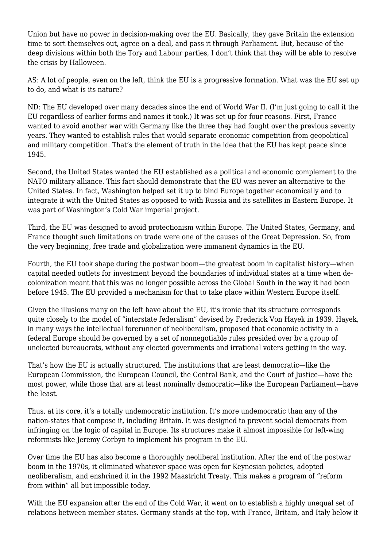Union but have no power in decision-making over the EU. Basically, they gave Britain the extension time to sort themselves out, agree on a deal, and pass it through Parliament. But, because of the deep divisions within both the Tory and Labour parties, I don't think that they will be able to resolve the crisis by Halloween.

AS: A lot of people, even on the left, think the EU is a progressive formation. What was the EU set up to do, and what is its nature?

ND: The EU developed over many decades since the end of World War II. (I'm just going to call it the EU regardless of earlier forms and names it took.) It was set up for four reasons. First, France wanted to avoid another war with Germany like the three they had fought over the previous seventy years. They wanted to establish rules that would separate economic competition from geopolitical and military competition. That's the element of truth in the idea that the EU has kept peace since 1945.

Second, the United States wanted the EU established as a political and economic complement to the NATO military alliance. This fact should demonstrate that the EU was never an alternative to the United States. In fact, Washington helped set it up to bind Europe together economically and to integrate it with the United States as opposed to with Russia and its satellites in Eastern Europe. It was part of Washington's Cold War imperial project.

Third, the EU was designed to avoid protectionism within Europe. The United States, Germany, and France thought such limitations on trade were one of the causes of the Great Depression. So, from the very beginning, free trade and globalization were immanent dynamics in the EU.

Fourth, the EU took shape during the postwar boom—the greatest boom in capitalist history—when capital needed outlets for investment beyond the boundaries of individual states at a time when decolonization meant that this was no longer possible across the Global South in the way it had been before 1945. The EU provided a mechanism for that to take place within Western Europe itself.

Given the illusions many on the left have about the EU, it's ironic that its structure corresponds quite closely to the model of "interstate federalism" devised by Frederick Von Hayek in 1939. Hayek, in many ways the intellectual forerunner of neoliberalism, proposed that economic activity in a federal Europe should be governed by a set of nonnegotiable rules presided over by a group of unelected bureaucrats, without any elected governments and irrational voters getting in the way.

That's how the EU is actually structured. The institutions that are least democratic—like the European Commission, the European Council, the Central Bank, and the Court of Justice—have the most power, while those that are at least nominally democratic—like the European Parliament—have the least.

Thus, at its core, it's a totally undemocratic institution. It's more undemocratic than any of the nation-states that compose it, including Britain. It was designed to prevent social democrats from infringing on the logic of capital in Europe. Its structures make it almost impossible for left-wing reformists like Jeremy Corbyn to implement his program in the EU.

Over time the EU has also become a thoroughly neoliberal institution. After the end of the postwar boom in the 1970s, it eliminated whatever space was open for Keynesian policies, adopted neoliberalism, and enshrined it in the 1992 Maastricht Treaty. This makes a program of "reform from within" all but impossible today.

With the EU expansion after the end of the Cold War, it went on to establish a highly unequal set of relations between member states. Germany stands at the top, with France, Britain, and Italy below it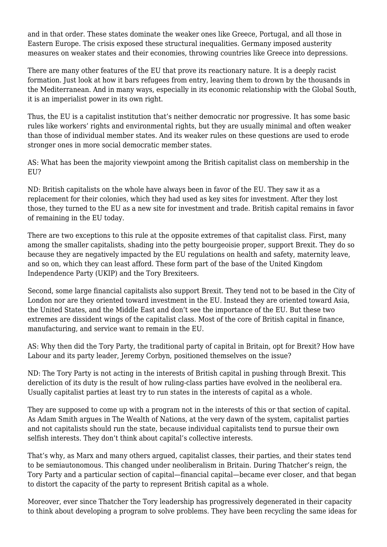and in that order. These states dominate the weaker ones like Greece, Portugal, and all those in Eastern Europe. The crisis exposed these structural inequalities. Germany imposed austerity measures on weaker states and their economies, throwing countries like Greece into depressions.

There are many other features of the EU that prove its reactionary nature. It is a deeply racist formation. Just look at how it bars refugees from entry, leaving them to drown by the thousands in the Mediterranean. And in many ways, especially in its economic relationship with the Global South, it is an imperialist power in its own right.

Thus, the EU is a capitalist institution that's neither democratic nor progressive. It has some basic rules like workers' rights and environmental rights, but they are usually minimal and often weaker than those of individual member states. And its weaker rules on these questions are used to erode stronger ones in more social democratic member states.

AS: What has been the majority viewpoint among the British capitalist class on membership in the EU?

ND: British capitalists on the whole have always been in favor of the EU. They saw it as a replacement for their colonies, which they had used as key sites for investment. After they lost those, they turned to the EU as a new site for investment and trade. British capital remains in favor of remaining in the EU today.

There are two exceptions to this rule at the opposite extremes of that capitalist class. First, many among the smaller capitalists, shading into the petty bourgeoisie proper, support Brexit. They do so because they are negatively impacted by the EU regulations on health and safety, maternity leave, and so on, which they can least afford. These form part of the base of the United Kingdom Independence Party (UKIP) and the Tory Brexiteers.

Second, some large financial capitalists also support Brexit. They tend not to be based in the City of London nor are they oriented toward investment in the EU. Instead they are oriented toward Asia, the United States, and the Middle East and don't see the importance of the EU. But these two extremes are dissident wings of the capitalist class. Most of the core of British capital in finance, manufacturing, and service want to remain in the EU.

AS: Why then did the Tory Party, the traditional party of capital in Britain, opt for Brexit? How have Labour and its party leader, Jeremy Corbyn, positioned themselves on the issue?

ND: The Tory Party is not acting in the interests of British capital in pushing through Brexit. This dereliction of its duty is the result of how ruling-class parties have evolved in the neoliberal era. Usually capitalist parties at least try to run states in the interests of capital as a whole.

They are supposed to come up with a program not in the interests of this or that section of capital. As Adam Smith argues in The Wealth of Nations, at the very dawn of the system, capitalist parties and not capitalists should run the state, because individual capitalists tend to pursue their own selfish interests. They don't think about capital's collective interests.

That's why, as Marx and many others argued, capitalist classes, their parties, and their states tend to be semiautonomous. This changed under neoliberalism in Britain. During Thatcher's reign, the Tory Party and a particular section of capital—financial capital—became ever closer, and that began to distort the capacity of the party to represent British capital as a whole.

Moreover, ever since Thatcher the Tory leadership has progressively degenerated in their capacity to think about developing a program to solve problems. They have been recycling the same ideas for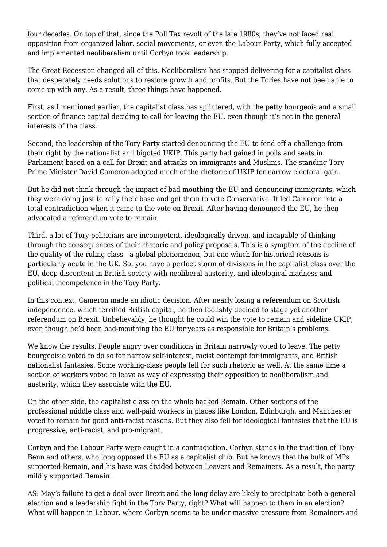four decades. On top of that, since the Poll Tax revolt of the late 1980s, they've not faced real opposition from organized labor, social movements, or even the Labour Party, which fully accepted and implemented neoliberalism until Corbyn took leadership.

The Great Recession changed all of this. Neoliberalism has stopped delivering for a capitalist class that desperately needs solutions to restore growth and profits. But the Tories have not been able to come up with any. As a result, three things have happened.

First, as I mentioned earlier, the capitalist class has splintered, with the petty bourgeois and a small section of finance capital deciding to call for leaving the EU, even though it's not in the general interests of the class.

Second, the leadership of the Tory Party started denouncing the EU to fend off a challenge from their right by the nationalist and bigoted UKIP. This party had gained in polls and seats in Parliament based on a call for Brexit and attacks on immigrants and Muslims. The standing Tory Prime Minister David Cameron adopted much of the rhetoric of UKIP for narrow electoral gain.

But he did not think through the impact of bad-mouthing the EU and denouncing immigrants, which they were doing just to rally their base and get them to vote Conservative. It led Cameron into a total contradiction when it came to the vote on Brexit. After having denounced the EU, he then advocated a referendum vote to remain.

Third, a lot of Tory politicians are incompetent, ideologically driven, and incapable of thinking through the consequences of their rhetoric and policy proposals. This is a symptom of the decline of the quality of the ruling class—a global phenomenon, but one which for historical reasons is particularly acute in the UK. So, you have a perfect storm of divisions in the capitalist class over the EU, deep discontent in British society with neoliberal austerity, and ideological madness and political incompetence in the Tory Party.

In this context, Cameron made an idiotic decision. After nearly losing a referendum on Scottish independence, which terrified British capital, he then foolishly decided to stage yet another referendum on Brexit. Unbelievably, he thought he could win the vote to remain and sideline UKIP, even though he'd been bad-mouthing the EU for years as responsible for Britain's problems.

We know the results. People angry over conditions in Britain narrowly voted to leave. The petty bourgeoisie voted to do so for narrow self-interest, racist contempt for immigrants, and British nationalist fantasies. Some working-class people fell for such rhetoric as well. At the same time a section of workers voted to leave as way of expressing their opposition to neoliberalism and austerity, which they associate with the EU.

On the other side, the capitalist class on the whole backed Remain. Other sections of the professional middle class and well-paid workers in places like London, Edinburgh, and Manchester voted to remain for good anti-racist reasons. But they also fell for ideological fantasies that the EU is progressive, anti-racist, and pro-migrant.

Corbyn and the Labour Party were caught in a contradiction. Corbyn stands in the tradition of Tony Benn and others, who long opposed the EU as a capitalist club. But he knows that the bulk of MPs supported Remain, and his base was divided between Leavers and Remainers. As a result, the party mildly supported Remain.

AS: May's failure to get a deal over Brexit and the long delay are likely to precipitate both a general election and a leadership fight in the Tory Party, right? What will happen to them in an election? What will happen in Labour, where Corbyn seems to be under massive pressure from Remainers and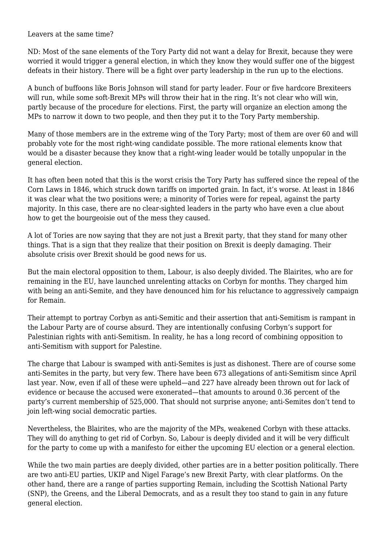Leavers at the same time?

ND: Most of the sane elements of the Tory Party did not want a delay for Brexit, because they were worried it would trigger a general election, in which they know they would suffer one of the biggest defeats in their history. There will be a fight over party leadership in the run up to the elections.

A bunch of buffoons like Boris Johnson will stand for party leader. Four or five hardcore Brexiteers will run, while some soft-Brexit MPs will throw their hat in the ring. It's not clear who will win, partly because of the procedure for elections. First, the party will organize an election among the MPs to narrow it down to two people, and then they put it to the Tory Party membership.

Many of those members are in the extreme wing of the Tory Party; most of them are over 60 and will probably vote for the most right-wing candidate possible. The more rational elements know that would be a disaster because they know that a right-wing leader would be totally unpopular in the general election.

It has often been noted that this is the worst crisis the Tory Party has suffered since the repeal of the Corn Laws in 1846, which struck down tariffs on imported grain. In fact, it's worse. At least in 1846 it was clear what the two positions were; a minority of Tories were for repeal, against the party majority. In this case, there are no clear-sighted leaders in the party who have even a clue about how to get the bourgeoisie out of the mess they caused.

A lot of Tories are now saying that they are not just a Brexit party, that they stand for many other things. That is a sign that they realize that their position on Brexit is deeply damaging. Their absolute crisis over Brexit should be good news for us.

But the main electoral opposition to them, Labour, is also deeply divided. The Blairites, who are for remaining in the EU, have launched unrelenting attacks on Corbyn for months. They charged him with being an anti-Semite, and they have denounced him for his reluctance to aggressively campaign for Remain.

Their attempt to portray Corbyn as anti-Semitic and their assertion that anti-Semitism is rampant in the Labour Party are of course absurd. They are intentionally confusing Corbyn's support for Palestinian rights with anti-Semitism. In reality, he has a long record of combining opposition to anti-Semitism with support for Palestine.

The charge that Labour is swamped with anti-Semites is just as dishonest. There are of course some anti-Semites in the party, but very few. There have been 673 allegations of anti-Semitism since April last year. Now, even if all of these were upheld—and 227 have already been thrown out for lack of evidence or because the accused were exonerated—that amounts to around 0.36 percent of the party's current membership of 525,000. That should not surprise anyone; anti-Semites don't tend to join left-wing social democratic parties.

Nevertheless, the Blairites, who are the majority of the MPs, weakened Corbyn with these attacks. They will do anything to get rid of Corbyn. So, Labour is deeply divided and it will be very difficult for the party to come up with a manifesto for either the upcoming EU election or a general election.

While the two main parties are deeply divided, other parties are in a better position politically. There are two anti-EU parties, UKIP and Nigel Farage's new Brexit Party, with clear platforms. On the other hand, there are a range of parties supporting Remain, including the Scottish National Party (SNP), the Greens, and the Liberal Democrats, and as a result they too stand to gain in any future general election.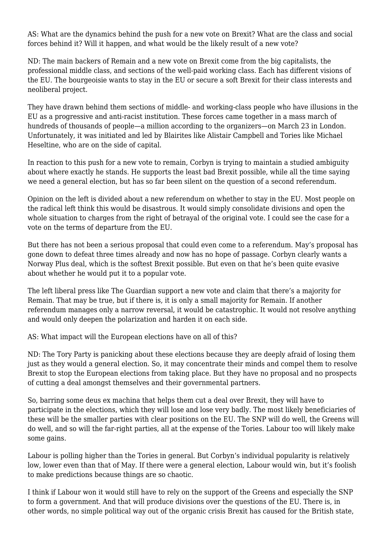AS: What are the dynamics behind the push for a new vote on Brexit? What are the class and social forces behind it? Will it happen, and what would be the likely result of a new vote?

ND: The main backers of Remain and a new vote on Brexit come from the big capitalists, the professional middle class, and sections of the well-paid working class. Each has different visions of the EU. The bourgeoisie wants to stay in the EU or secure a soft Brexit for their class interests and neoliberal project.

They have drawn behind them sections of middle- and working-class people who have illusions in the EU as a progressive and anti-racist institution. These forces came together in a mass march of hundreds of thousands of people—a million according to the organizers—on March 23 in London. Unfortunately, it was initiated and led by Blairites like Alistair Campbell and Tories like Michael Heseltine, who are on the side of capital.

In reaction to this push for a new vote to remain, Corbyn is trying to maintain a studied ambiguity about where exactly he stands. He supports the least bad Brexit possible, while all the time saying we need a general election, but has so far been silent on the question of a second referendum.

Opinion on the left is divided about a new referendum on whether to stay in the EU. Most people on the radical left think this would be disastrous. It would simply consolidate divisions and open the whole situation to charges from the right of betrayal of the original vote. I could see the case for a vote on the terms of departure from the EU.

But there has not been a serious proposal that could even come to a referendum. May's proposal has gone down to defeat three times already and now has no hope of passage. Corbyn clearly wants a Norway Plus deal, which is the softest Brexit possible. But even on that he's been quite evasive about whether he would put it to a popular vote.

The left liberal press like The Guardian support a new vote and claim that there's a majority for Remain. That may be true, but if there is, it is only a small majority for Remain. If another referendum manages only a narrow reversal, it would be catastrophic. It would not resolve anything and would only deepen the polarization and harden it on each side.

AS: What impact will the European elections have on all of this?

ND: The Tory Party is panicking about these elections because they are deeply afraid of losing them just as they would a general election. So, it may concentrate their minds and compel them to resolve Brexit to stop the European elections from taking place. But they have no proposal and no prospects of cutting a deal amongst themselves and their governmental partners.

So, barring some deus ex machina that helps them cut a deal over Brexit, they will have to participate in the elections, which they will lose and lose very badly. The most likely beneficiaries of these will be the smaller parties with clear positions on the EU. The SNP will do well, the Greens will do well, and so will the far-right parties, all at the expense of the Tories. Labour too will likely make some gains.

Labour is polling higher than the Tories in general. But Corbyn's individual popularity is relatively low, lower even than that of May. If there were a general election, Labour would win, but it's foolish to make predictions because things are so chaotic.

I think if Labour won it would still have to rely on the support of the Greens and especially the SNP to form a government. And that will produce divisions over the questions of the EU. There is, in other words, no simple political way out of the organic crisis Brexit has caused for the British state,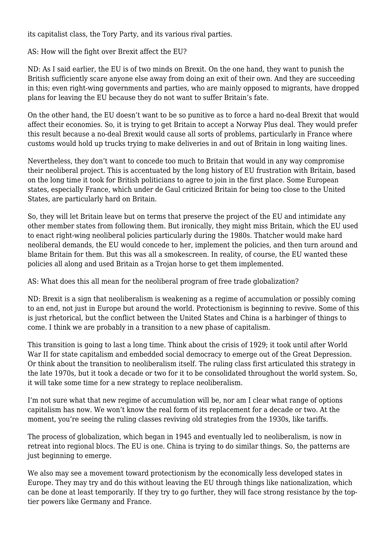its capitalist class, the Tory Party, and its various rival parties.

AS: How will the fight over Brexit affect the EU?

ND: As I said earlier, the EU is of two minds on Brexit. On the one hand, they want to punish the British sufficiently scare anyone else away from doing an exit of their own. And they are succeeding in this; even right-wing governments and parties, who are mainly opposed to migrants, have dropped plans for leaving the EU because they do not want to suffer Britain's fate.

On the other hand, the EU doesn't want to be so punitive as to force a hard no-deal Brexit that would affect their economies. So, it is trying to get Britain to accept a Norway Plus deal. They would prefer this result because a no-deal Brexit would cause all sorts of problems, particularly in France where customs would hold up trucks trying to make deliveries in and out of Britain in long waiting lines.

Nevertheless, they don't want to concede too much to Britain that would in any way compromise their neoliberal project. This is accentuated by the long history of EU frustration with Britain, based on the long time it took for British politicians to agree to join in the first place. Some European states, especially France, which under de Gaul criticized Britain for being too close to the United States, are particularly hard on Britain.

So, they will let Britain leave but on terms that preserve the project of the EU and intimidate any other member states from following them. But ironically, they might miss Britain, which the EU used to enact right-wing neoliberal policies particularly during the 1980s. Thatcher would make hard neoliberal demands, the EU would concede to her, implement the policies, and then turn around and blame Britain for them. But this was all a smokescreen. In reality, of course, the EU wanted these policies all along and used Britain as a Trojan horse to get them implemented.

AS: What does this all mean for the neoliberal program of free trade globalization?

ND: Brexit is a sign that neoliberalism is weakening as a regime of accumulation or possibly coming to an end, not just in Europe but around the world. Protectionism is beginning to revive. Some of this is just rhetorical, but the conflict between the United States and China is a harbinger of things to come. I think we are probably in a transition to a new phase of capitalism.

This transition is going to last a long time. Think about the crisis of 1929; it took until after World War II for state capitalism and embedded social democracy to emerge out of the Great Depression. Or think about the transition to neoliberalism itself. The ruling class first articulated this strategy in the late 1970s, but it took a decade or two for it to be consolidated throughout the world system. So, it will take some time for a new strategy to replace neoliberalism.

I'm not sure what that new regime of accumulation will be, nor am I clear what range of options capitalism has now. We won't know the real form of its replacement for a decade or two. At the moment, you're seeing the ruling classes reviving old strategies from the 1930s, like tariffs.

The process of globalization, which began in 1945 and eventually led to neoliberalism, is now in retreat into regional blocs. The EU is one. China is trying to do similar things. So, the patterns are just beginning to emerge.

We also may see a movement toward protectionism by the economically less developed states in Europe. They may try and do this without leaving the EU through things like nationalization, which can be done at least temporarily. If they try to go further, they will face strong resistance by the toptier powers like Germany and France.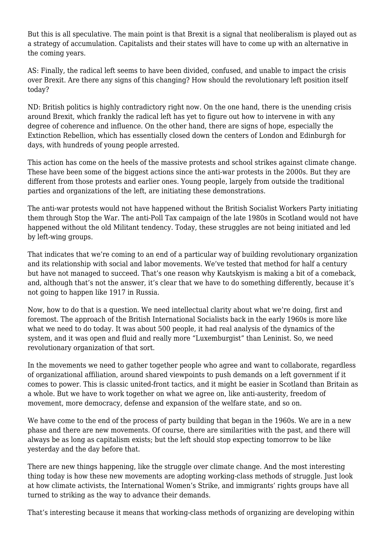But this is all speculative. The main point is that Brexit is a signal that neoliberalism is played out as a strategy of accumulation. Capitalists and their states will have to come up with an alternative in the coming years.

AS: Finally, the radical left seems to have been divided, confused, and unable to impact the crisis over Brexit. Are there any signs of this changing? How should the revolutionary left position itself today?

ND: British politics is highly contradictory right now. On the one hand, there is the unending crisis around Brexit, which frankly the radical left has yet to figure out how to intervene in with any degree of coherence and influence. On the other hand, there are signs of hope, especially the Extinction Rebellion, which has essentially closed down the centers of London and Edinburgh for days, with hundreds of young people arrested.

This action has come on the heels of the massive protests and school strikes against climate change. These have been some of the biggest actions since the anti-war protests in the 2000s. But they are different from those protests and earlier ones. Young people, largely from outside the traditional parties and organizations of the left, are initiating these demonstrations.

The anti-war protests would not have happened without the British Socialist Workers Party initiating them through Stop the War. The anti-Poll Tax campaign of the late 1980s in Scotland would not have happened without the old Militant tendency. Today, these struggles are not being initiated and led by left-wing groups.

That indicates that we're coming to an end of a particular way of building revolutionary organization and its relationship with social and labor movements. We've tested that method for half a century but have not managed to succeed. That's one reason why Kautskyism is making a bit of a comeback, and, although that's not the answer, it's clear that we have to do something differently, because it's not going to happen like 1917 in Russia.

Now, how to do that is a question. We need intellectual clarity about what we're doing, first and foremost. The approach of the British International Socialists back in the early 1960s is more like what we need to do today. It was about 500 people, it had real analysis of the dynamics of the system, and it was open and fluid and really more "Luxemburgist" than Leninist. So, we need revolutionary organization of that sort.

In the movements we need to gather together people who agree and want to collaborate, regardless of organizational affiliation, around shared viewpoints to push demands on a left government if it comes to power. This is classic united-front tactics, and it might be easier in Scotland than Britain as a whole. But we have to work together on what we agree on, like anti-austerity, freedom of movement, more democracy, defense and expansion of the welfare state, and so on.

We have come to the end of the process of party building that began in the 1960s. We are in a new phase and there are new movements. Of course, there are similarities with the past, and there will always be as long as capitalism exists; but the left should stop expecting tomorrow to be like yesterday and the day before that.

There are new things happening, like the struggle over climate change. And the most interesting thing today is how these new movements are adopting working-class methods of struggle. Just look at how climate activists, the International Women's Strike, and immigrants' rights groups have all turned to striking as the way to advance their demands.

That's interesting because it means that working-class methods of organizing are developing within